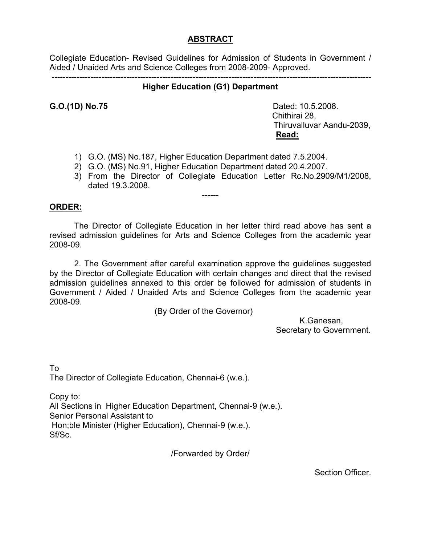#### **ABSTRACT**

Collegiate Education- Revised Guidelines for Admission of Students in Government / Aided / Unaided Arts and Science Colleges from 2008-2009- Approved.

#### -------------------------------------------------------------------------------------------------------------------- **Higher Education (G1) Department**

**G.O.(1D) No.75 Dated: 10.5.2008.**  Chithirai 28, Thiruvalluvar Aandu-2039, **Read:**

- 1) G.O. (MS) No.187, Higher Education Department dated 7.5.2004.
- 2) G.O. (MS) No.91, Higher Education Department dated 20.4.2007.
- 3) From the Director of Collegiate Education Letter Rc.No.2909/M1/2008, dated 19.3.2008.

#### **ORDER:**

The Director of Collegiate Education in her letter third read above has sent a revised admission guidelines for Arts and Science Colleges from the academic year 2008-09.

------

 2. The Government after careful examination approve the guidelines suggested by the Director of Collegiate Education with certain changes and direct that the revised admission guidelines annexed to this order be followed for admission of students in Government / Aided / Unaided Arts and Science Colleges from the academic year 2008-09.

(By Order of the Governor)

 K.Ganesan, Secretary to Government.

To The Director of Collegiate Education, Chennai-6 (w.e.).

Copy to: All Sections in Higher Education Department, Chennai-9 (w.e.). Senior Personal Assistant to Hon;ble Minister (Higher Education), Chennai-9 (w.e.). Sf/Sc.

/Forwarded by Order/

Section Officer.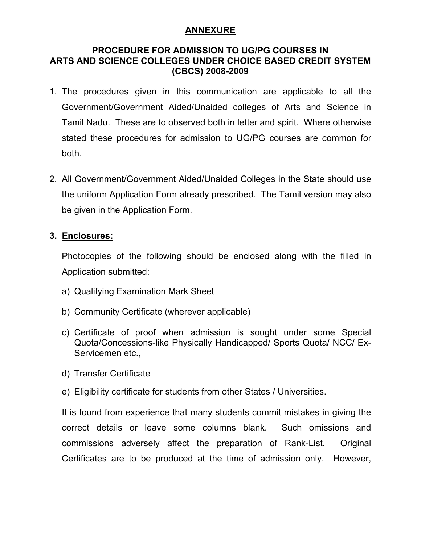#### **ANNEXURE**

#### **PROCEDURE FOR ADMISSION TO UG/PG COURSES IN ARTS AND SCIENCE COLLEGES UNDER CHOICE BASED CREDIT SYSTEM (CBCS) 2008-2009**

- 1. The procedures given in this communication are applicable to all the Government/Government Aided/Unaided colleges of Arts and Science in Tamil Nadu. These are to observed both in letter and spirit. Where otherwise stated these procedures for admission to UG/PG courses are common for both.
- 2. All Government/Government Aided/Unaided Colleges in the State should use the uniform Application Form already prescribed. The Tamil version may also be given in the Application Form.

#### **3. Enclosures:**

Photocopies of the following should be enclosed along with the filled in Application submitted:

- a) Qualifying Examination Mark Sheet
- b) Community Certificate (wherever applicable)
- c) Certificate of proof when admission is sought under some Special Quota/Concessions-like Physically Handicapped/ Sports Quota/ NCC/ Ex-Servicemen etc.,
- d) Transfer Certificate
- e) Eligibility certificate for students from other States / Universities.

It is found from experience that many students commit mistakes in giving the correct details or leave some columns blank. Such omissions and commissions adversely affect the preparation of Rank-List. Original Certificates are to be produced at the time of admission only. However,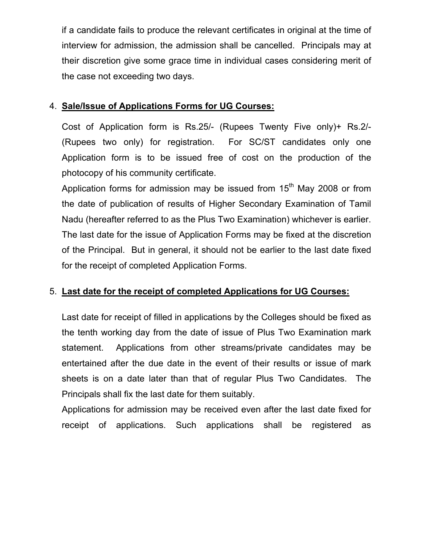if a candidate fails to produce the relevant certificates in original at the time of interview for admission, the admission shall be cancelled. Principals may at their discretion give some grace time in individual cases considering merit of the case not exceeding two days.

#### 4. **Sale/Issue of Applications Forms for UG Courses:**

Cost of Application form is Rs.25/- (Rupees Twenty Five only)+ Rs.2/- (Rupees two only) for registration. For SC/ST candidates only one Application form is to be issued free of cost on the production of the photocopy of his community certificate.

Application forms for admission may be issued from  $15<sup>th</sup>$  May 2008 or from the date of publication of results of Higher Secondary Examination of Tamil Nadu (hereafter referred to as the Plus Two Examination) whichever is earlier. The last date for the issue of Application Forms may be fixed at the discretion of the Principal. But in general, it should not be earlier to the last date fixed for the receipt of completed Application Forms.

## 5. **Last date for the receipt of completed Applications for UG Courses:**

Last date for receipt of filled in applications by the Colleges should be fixed as the tenth working day from the date of issue of Plus Two Examination mark statement. Applications from other streams/private candidates may be entertained after the due date in the event of their results or issue of mark sheets is on a date later than that of regular Plus Two Candidates. The Principals shall fix the last date for them suitably.

Applications for admission may be received even after the last date fixed for receipt of applications. Such applications shall be registered as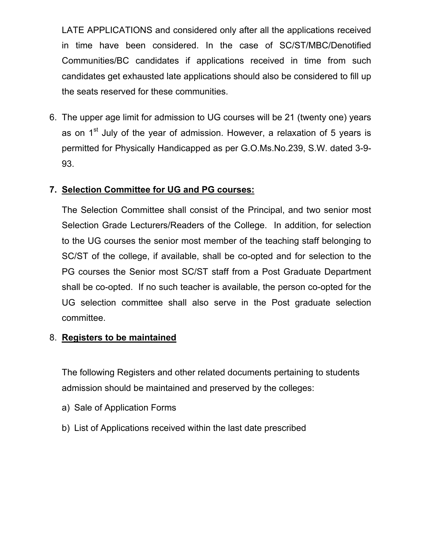LATE APPLICATIONS and considered only after all the applications received in time have been considered. In the case of SC/ST/MBC/Denotified Communities/BC candidates if applications received in time from such candidates get exhausted late applications should also be considered to fill up the seats reserved for these communities.

6. The upper age limit for admission to UG courses will be 21 (twenty one) years as on  $1<sup>st</sup>$  July of the year of admission. However, a relaxation of 5 years is permitted for Physically Handicapped as per G.O.Ms.No.239, S.W. dated 3-9- 93.

## **7. Selection Committee for UG and PG courses:**

The Selection Committee shall consist of the Principal, and two senior most Selection Grade Lecturers/Readers of the College. In addition, for selection to the UG courses the senior most member of the teaching staff belonging to SC/ST of the college, if available, shall be co-opted and for selection to the PG courses the Senior most SC/ST staff from a Post Graduate Department shall be co-opted. If no such teacher is available, the person co-opted for the UG selection committee shall also serve in the Post graduate selection committee.

#### 8. **Registers to be maintained**

The following Registers and other related documents pertaining to students admission should be maintained and preserved by the colleges:

- a) Sale of Application Forms
- b) List of Applications received within the last date prescribed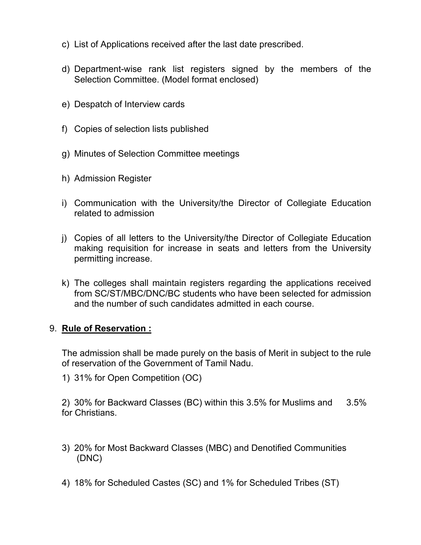- c) List of Applications received after the last date prescribed.
- d) Department-wise rank list registers signed by the members of the Selection Committee. (Model format enclosed)
- e) Despatch of Interview cards
- f) Copies of selection lists published
- g) Minutes of Selection Committee meetings
- h) Admission Register
- i) Communication with the University/the Director of Collegiate Education related to admission
- j) Copies of all letters to the University/the Director of Collegiate Education making requisition for increase in seats and letters from the University permitting increase.
- k) The colleges shall maintain registers regarding the applications received from SC/ST/MBC/DNC/BC students who have been selected for admission and the number of such candidates admitted in each course.

#### 9. **Rule of Reservation :**

The admission shall be made purely on the basis of Merit in subject to the rule of reservation of the Government of Tamil Nadu.

1) 31% for Open Competition (OC)

2) 30% for Backward Classes (BC) within this 3.5% for Muslims and 3.5% for Christians.

- 3) 20% for Most Backward Classes (MBC) and Denotified Communities (DNC)
- 4) 18% for Scheduled Castes (SC) and 1% for Scheduled Tribes (ST)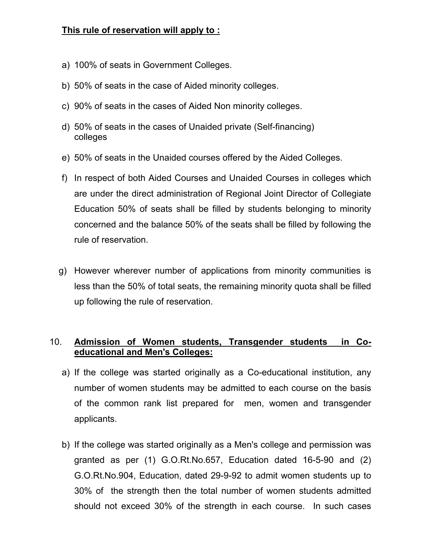## **This rule of reservation will apply to :**

- a) 100% of seats in Government Colleges.
- b) 50% of seats in the case of Aided minority colleges.
- c) 90% of seats in the cases of Aided Non minority colleges.
- d) 50% of seats in the cases of Unaided private (Self-financing) colleges
- e) 50% of seats in the Unaided courses offered by the Aided Colleges.
- f) In respect of both Aided Courses and Unaided Courses in colleges which are under the direct administration of Regional Joint Director of Collegiate Education 50% of seats shall be filled by students belonging to minority concerned and the balance 50% of the seats shall be filled by following the rule of reservation.
- g) However wherever number of applications from minority communities is less than the 50% of total seats, the remaining minority quota shall be filled up following the rule of reservation.

## 10. **Admission of Women students, Transgender students in Co educational and Men's Colleges:**

- a) If the college was started originally as a Co-educational institution, any number of women students may be admitted to each course on the basis of the common rank list prepared for men, women and transgender applicants.
- b) If the college was started originally as a Men's college and permission was granted as per (1) G.O.Rt.No.657, Education dated 16-5-90 and (2) G.O.Rt.No.904, Education, dated 29-9-92 to admit women students up to 30% of the strength then the total number of women students admitted should not exceed 30% of the strength in each course. In such cases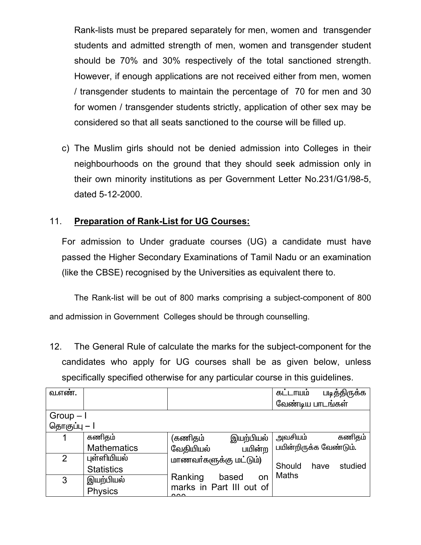Rank-lists must be prepared separately for men, women and transgender students and admitted strength of men, women and transgender student should be 70% and 30% respectively of the total sanctioned strength. However, if enough applications are not received either from men, women / transgender students to maintain the percentage of 70 for men and 30 for women / transgender students strictly, application of other sex may be considered so that all seats sanctioned to the course will be filled up.

c) The Muslim girls should not be denied admission into Colleges in their neighbourhoods on the ground that they should seek admission only in their own minority institutions as per Government Letter No.231/G1/98-5, dated 5-12-2000.

# 11. **Preparation of Rank-List for UG Courses:**

For admission to Under graduate courses (UG) a candidate must have passed the Higher Secondary Examinations of Tamil Nadu or an examination (like the CBSE) recognised by the Universities as equivalent there to.

 The Rank-list will be out of 800 marks comprising a subject-component of 800 and admission in Government Colleges should be through counselling.

12. The General Rule of calculate the marks for the subject-component for the candidates who apply for UG courses shall be as given below, unless specifically specified otherwise for any particular course in this guidelines.

| வேண்டிய பாடங்கள்       |
|------------------------|
|                        |
|                        |
|                        |
| கணிதம்                 |
| பயின்றிருக்க வேண்டும். |
|                        |
| studied                |
|                        |
|                        |
|                        |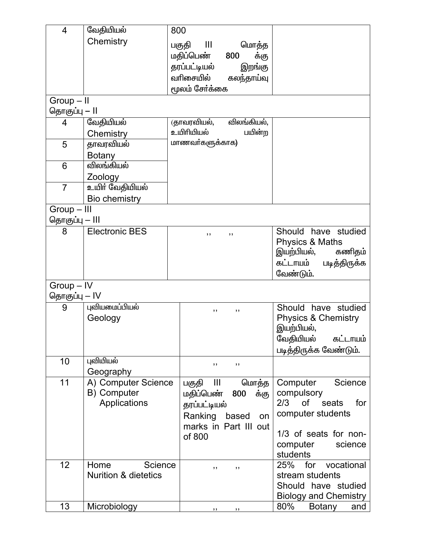| 4              | வேதியியல்                       | 800                                               |                                                    |  |  |
|----------------|---------------------------------|---------------------------------------------------|----------------------------------------------------|--|--|
|                | Chemistry                       | - III<br>பகுதி<br>மொத்த                           |                                                    |  |  |
|                |                                 | மதிப்பெண்<br>800<br>க்கு                          |                                                    |  |  |
|                |                                 | தரப்பட்டியல்<br>இறங்கு<br>வரிசையில்<br>கலந்தாய்வு |                                                    |  |  |
|                |                                 | மூலம் சேர்க்கை                                    |                                                    |  |  |
| $Group - II$   |                                 |                                                   |                                                    |  |  |
| தொகுப்பு — ll  |                                 |                                                   |                                                    |  |  |
| 4              | வேதியியல்                       | (தாவரவியல்,<br>விலங்கியல்.                        |                                                    |  |  |
|                | Chemistry                       | உயிரியியல்<br>பயின்ற                              |                                                    |  |  |
| 5              | தாவரவியல்                       | மாணவர்களுக்காக)                                   |                                                    |  |  |
|                | <b>Botany</b>                   |                                                   |                                                    |  |  |
| 6              | விலங்கியல்                      |                                                   |                                                    |  |  |
|                | Zoology                         |                                                   |                                                    |  |  |
| $\overline{7}$ | உயிர் வேதியியல்                 |                                                   |                                                    |  |  |
|                | <b>Bio chemistry</b>            |                                                   |                                                    |  |  |
| Group - III    |                                 |                                                   |                                                    |  |  |
| தொகுப்பு — III |                                 |                                                   |                                                    |  |  |
| 8              | <b>Electronic BES</b>           | ,,<br>, ,                                         | Should have studied                                |  |  |
|                |                                 |                                                   | <b>Physics &amp; Maths</b><br>இயற்பியல்,<br>கணிதம் |  |  |
|                |                                 |                                                   | கட்டாயம்<br>படித்திருக்க                           |  |  |
|                |                                 |                                                   | வேண்டும்.                                          |  |  |
| Group - IV     |                                 |                                                   |                                                    |  |  |
| தொகுப்பு — IV  |                                 |                                                   |                                                    |  |  |
| 9              | புவியமைப்பியல்                  | ,,<br>, ,                                         | Should have studied                                |  |  |
|                | Geology                         |                                                   | <b>Physics &amp; Chemistry</b>                     |  |  |
|                |                                 |                                                   | இயற்பியல்,                                         |  |  |
|                |                                 |                                                   | வேதியியல்<br>கட்டாயம்                              |  |  |
|                |                                 |                                                   | படித்திருக்க வேண்டும்.                             |  |  |
| 10             | புவியியல்                       | ,,<br>$, \,$                                      |                                                    |  |  |
|                | Geography                       |                                                   |                                                    |  |  |
| 11             | A) Computer Science             | $\mathbf{III}$<br>மொத்த<br>பகுதி                  | Computer<br><b>Science</b>                         |  |  |
|                | B) Computer                     | மதிப்பெண்<br>800<br>க்கு                          | compulsory                                         |  |  |
|                | Applications                    | தரப்பட்டியல்                                      | 2/3<br><b>of</b><br>for<br>seats                   |  |  |
|                |                                 | Ranking<br>based<br>on                            | computer students                                  |  |  |
|                |                                 | marks in Part III out                             | 1/3 of seats for non-                              |  |  |
|                |                                 | of 800                                            | computer<br>science                                |  |  |
|                |                                 |                                                   | students                                           |  |  |
| 12             | Home<br>Science                 | ,,<br>, ,                                         | 25%<br>for vocational                              |  |  |
|                | <b>Nurition &amp; dietetics</b> |                                                   | stream students                                    |  |  |
|                |                                 |                                                   | Should have studied                                |  |  |
|                |                                 |                                                   | <b>Biology and Chemistry</b>                       |  |  |
| 13             | Microbiology                    | , ,<br>,,                                         | 80%<br><b>Botany</b><br>and                        |  |  |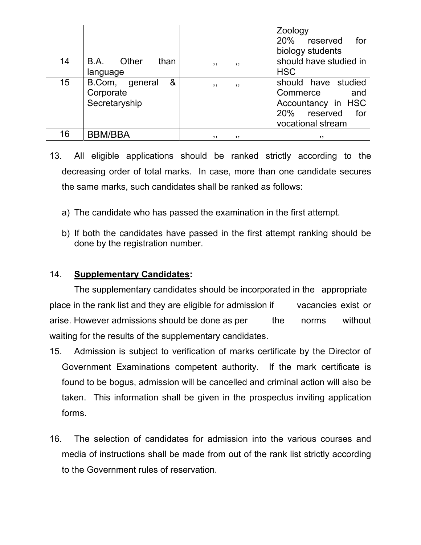|    |                                                   |            | Zoology<br>20% reserved<br>for<br>biology students                                                       |
|----|---------------------------------------------------|------------|----------------------------------------------------------------------------------------------------------|
| 14 | Other<br>than<br>B.A.<br>language                 | ,,<br>, ,  | should have studied in<br><b>HSC</b>                                                                     |
| 15 | &<br>B.Com, general<br>Corporate<br>Secretaryship | , ,<br>, , | should have studied<br>Commerce<br>and<br>Accountancy in HSC<br>20% reserved<br>for<br>vocational stream |
| 16 | <b>BBM/BBA</b>                                    | , ,<br>,,  | ,,                                                                                                       |

- 13. All eligible applications should be ranked strictly according to the decreasing order of total marks. In case, more than one candidate secures the same marks, such candidates shall be ranked as follows:
	- a) The candidate who has passed the examination in the first attempt.
	- b) If both the candidates have passed in the first attempt ranking should be done by the registration number.

#### 14. **Supplementary Candidates:**

 The supplementary candidates should be incorporated in the appropriate place in the rank list and they are eligible for admission if vacancies exist or arise. However admissions should be done as per the norms without waiting for the results of the supplementary candidates.

- 15. Admission is subject to verification of marks certificate by the Director of Government Examinations competent authority. If the mark certificate is found to be bogus, admission will be cancelled and criminal action will also be taken. This information shall be given in the prospectus inviting application forms.
- 16. The selection of candidates for admission into the various courses and media of instructions shall be made from out of the rank list strictly according to the Government rules of reservation.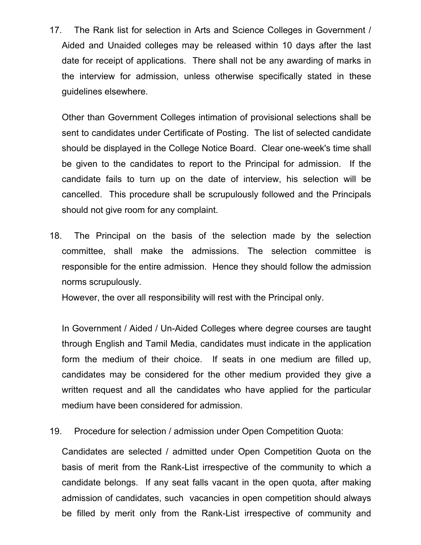17. The Rank list for selection in Arts and Science Colleges in Government / Aided and Unaided colleges may be released within 10 days after the last date for receipt of applications. There shall not be any awarding of marks in the interview for admission, unless otherwise specifically stated in these guidelines elsewhere.

Other than Government Colleges intimation of provisional selections shall be sent to candidates under Certificate of Posting. The list of selected candidate should be displayed in the College Notice Board. Clear one-week's time shall be given to the candidates to report to the Principal for admission. If the candidate fails to turn up on the date of interview, his selection will be cancelled. This procedure shall be scrupulously followed and the Principals should not give room for any complaint.

18. The Principal on the basis of the selection made by the selection committee, shall make the admissions. The selection committee is responsible for the entire admission. Hence they should follow the admission norms scrupulously.

However, the over all responsibility will rest with the Principal only.

In Government / Aided / Un-Aided Colleges where degree courses are taught through English and Tamil Media, candidates must indicate in the application form the medium of their choice. If seats in one medium are filled up, candidates may be considered for the other medium provided they give a written request and all the candidates who have applied for the particular medium have been considered for admission.

19. Procedure for selection / admission under Open Competition Quota:

Candidates are selected / admitted under Open Competition Quota on the basis of merit from the Rank-List irrespective of the community to which a candidate belongs. If any seat falls vacant in the open quota, after making admission of candidates, such vacancies in open competition should always be filled by merit only from the Rank-List irrespective of community and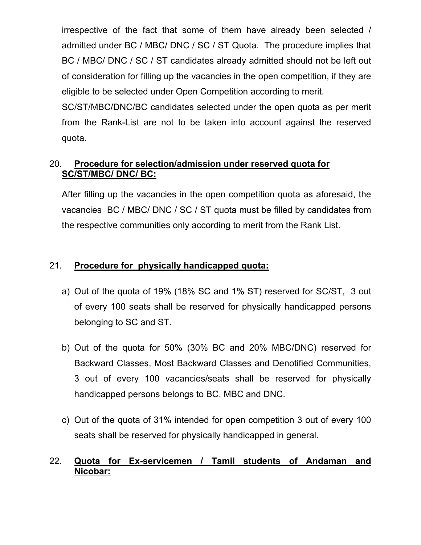irrespective of the fact that some of them have already been selected / admitted under BC / MBC/ DNC / SC / ST Quota. The procedure implies that BC / MBC/ DNC / SC / ST candidates already admitted should not be left out of consideration for filling up the vacancies in the open competition, if they are eligible to be selected under Open Competition according to merit.

SC/ST/MBC/DNC/BC candidates selected under the open quota as per merit from the Rank-List are not to be taken into account against the reserved quota.

## 20. **Procedure for selection/admission under reserved quota for SC/ST/MBC/ DNC/ BC:**

After filling up the vacancies in the open competition quota as aforesaid, the vacancies BC / MBC/ DNC / SC / ST quota must be filled by candidates from the respective communities only according to merit from the Rank List.

## 21. **Procedure for physically handicapped quota:**

- a) Out of the quota of 19% (18% SC and 1% ST) reserved for SC/ST, 3 out of every 100 seats shall be reserved for physically handicapped persons belonging to SC and ST.
- b) Out of the quota for 50% (30% BC and 20% MBC/DNC) reserved for Backward Classes, Most Backward Classes and Denotified Communities, 3 out of every 100 vacancies/seats shall be reserved for physically handicapped persons belongs to BC, MBC and DNC.
- c) Out of the quota of 31% intended for open competition 3 out of every 100 seats shall be reserved for physically handicapped in general.

## 22. **Quota for Ex-servicemen / Tamil students of Andaman and Nicobar:**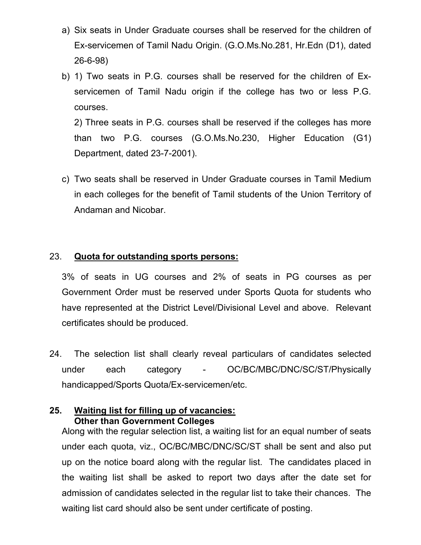- a) Six seats in Under Graduate courses shall be reserved for the children of Ex-servicemen of Tamil Nadu Origin. (G.O.Ms.No.281, Hr.Edn (D1), dated 26-6-98)
- b) 1) Two seats in P.G. courses shall be reserved for the children of Exservicemen of Tamil Nadu origin if the college has two or less P.G. courses.

2) Three seats in P.G. courses shall be reserved if the colleges has more than two P.G. courses (G.O.Ms.No.230, Higher Education (G1) Department, dated 23-7-2001).

c) Two seats shall be reserved in Under Graduate courses in Tamil Medium in each colleges for the benefit of Tamil students of the Union Territory of Andaman and Nicobar.

#### 23. **Quota for outstanding sports persons:**

3% of seats in UG courses and 2% of seats in PG courses as per Government Order must be reserved under Sports Quota for students who have represented at the District Level/Divisional Level and above. Relevant certificates should be produced.

24. The selection list shall clearly reveal particulars of candidates selected under each category - OC/BC/MBC/DNC/SC/ST/Physically handicapped/Sports Quota/Ex-servicemen/etc.

#### **25. Waiting list for filling up of vacancies: Other than Government Colleges**

Along with the regular selection list, a waiting list for an equal number of seats under each quota, viz., OC/BC/MBC/DNC/SC/ST shall be sent and also put up on the notice board along with the regular list. The candidates placed in the waiting list shall be asked to report two days after the date set for admission of candidates selected in the regular list to take their chances. The waiting list card should also be sent under certificate of posting.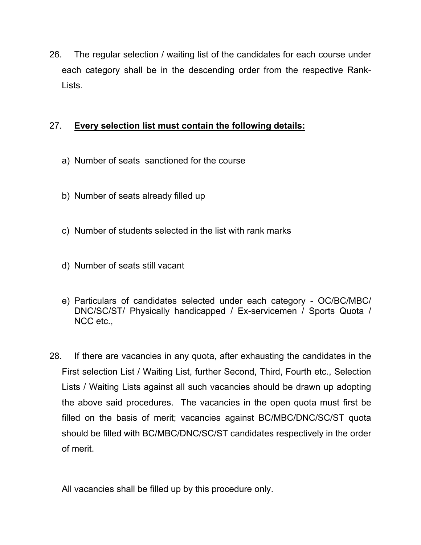26. The regular selection / waiting list of the candidates for each course under each category shall be in the descending order from the respective Rank-Lists.

## 27. **Every selection list must contain the following details:**

- a) Number of seats sanctioned for the course
- b) Number of seats already filled up
- c) Number of students selected in the list with rank marks
- d) Number of seats still vacant
- e) Particulars of candidates selected under each category OC/BC/MBC/ DNC/SC/ST/ Physically handicapped / Ex-servicemen / Sports Quota / NCC etc.,
- 28. If there are vacancies in any quota, after exhausting the candidates in the First selection List / Waiting List, further Second, Third, Fourth etc., Selection Lists / Waiting Lists against all such vacancies should be drawn up adopting the above said procedures. The vacancies in the open quota must first be filled on the basis of merit; vacancies against BC/MBC/DNC/SC/ST quota should be filled with BC/MBC/DNC/SC/ST candidates respectively in the order of merit.
	- All vacancies shall be filled up by this procedure only.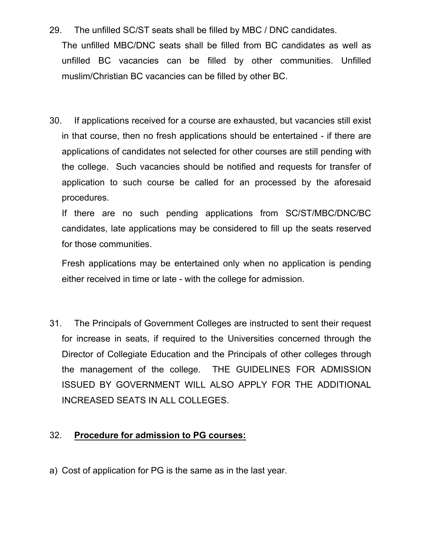29. The unfilled SC/ST seats shall be filled by MBC / DNC candidates.

The unfilled MBC/DNC seats shall be filled from BC candidates as well as unfilled BC vacancies can be filled by other communities. Unfilled muslim/Christian BC vacancies can be filled by other BC.

30. If applications received for a course are exhausted, but vacancies still exist in that course, then no fresh applications should be entertained - if there are applications of candidates not selected for other courses are still pending with the college. Such vacancies should be notified and requests for transfer of application to such course be called for an processed by the aforesaid procedures.

If there are no such pending applications from SC/ST/MBC/DNC/BC candidates, late applications may be considered to fill up the seats reserved for those communities.

Fresh applications may be entertained only when no application is pending either received in time or late - with the college for admission.

31. The Principals of Government Colleges are instructed to sent their request for increase in seats, if required to the Universities concerned through the Director of Collegiate Education and the Principals of other colleges through the management of the college. THE GUIDELINES FOR ADMISSION ISSUED BY GOVERNMENT WILL ALSO APPLY FOR THE ADDITIONAL INCREASED SEATS IN ALL COLLEGES.

#### 32. **Procedure for admission to PG courses:**

a) Cost of application for PG is the same as in the last year.